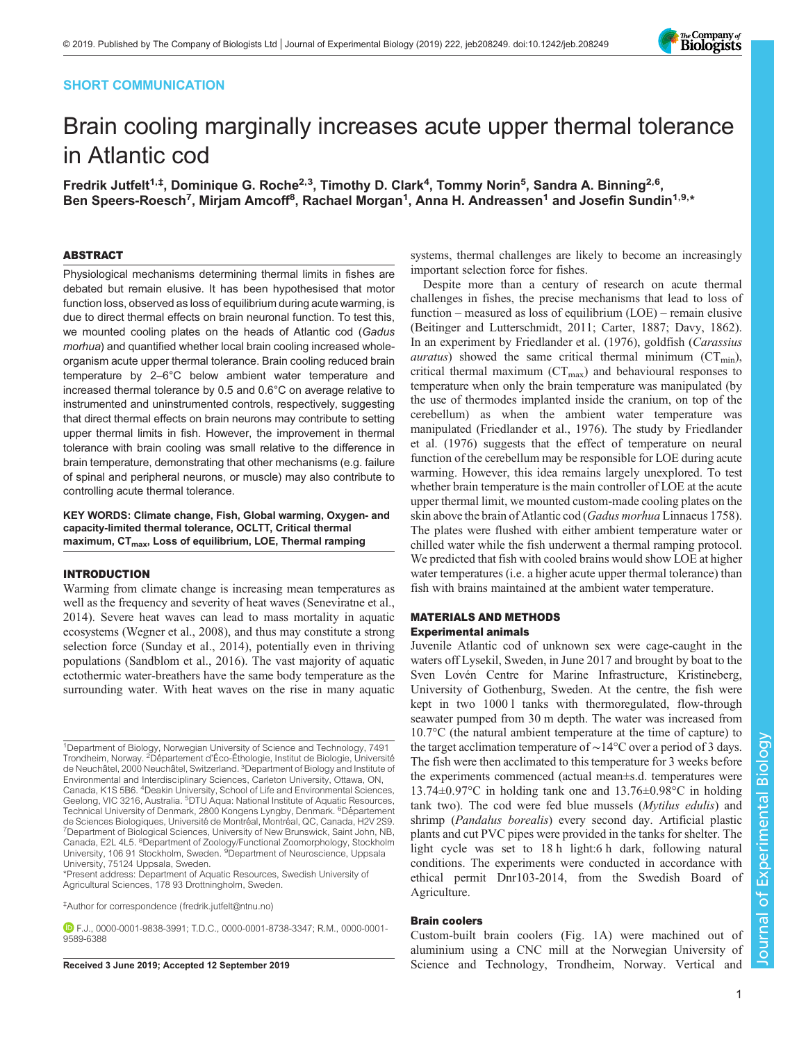## SHORT COMMUNICATION



# Brain cooling marginally increases acute upper thermal tolerance in Atlantic cod

Fredrik Jutfelt<sup>1,‡</sup>, Dominique G. Roche<sup>2,3</sup>, Timothy D. Clark<sup>4</sup>, Tommy Norin<sup>5</sup>, Sandra A. Binning<sup>2,6</sup>, Ben Speers-Roesch<sup>7</sup>, Mirjam Amcoff<sup>8</sup>, Rachael Morgan<sup>1</sup>, Anna H. Andreassen<sup>1</sup> and Josefin Sundin<sup>1,9,</sup>\*

## ABSTRACT

Physiological mechanisms determining thermal limits in fishes are debated but remain elusive. It has been hypothesised that motor function loss, observed as loss of equilibrium during acute warming, is due to direct thermal effects on brain neuronal function. To test this, we mounted cooling plates on the heads of Atlantic cod (Gadus morhua) and quantified whether local brain cooling increased wholeorganism acute upper thermal tolerance. Brain cooling reduced brain temperature by 2–6°C below ambient water temperature and increased thermal tolerance by 0.5 and 0.6°C on average relative to instrumented and uninstrumented controls, respectively, suggesting that direct thermal effects on brain neurons may contribute to setting upper thermal limits in fish. However, the improvement in thermal tolerance with brain cooling was small relative to the difference in brain temperature, demonstrating that other mechanisms (e.g. failure of spinal and peripheral neurons, or muscle) may also contribute to controlling acute thermal tolerance.

KEY WORDS: Climate change, Fish, Global warming, Oxygen- and capacity-limited thermal tolerance, OCLTT, Critical thermal maximum, CT<sub>max</sub>, Loss of equilibrium, LOE, Thermal ramping

## INTRODUCTION

Warming from climate change is increasing mean temperatures as well as the frequency and severity of heat waves [\(Seneviratne et al.,](#page-4-0) [2014](#page-4-0)). Severe heat waves can lead to mass mortality in aquatic ecosystems ([Wegner et al., 2008](#page-4-0)), and thus may constitute a strong selection force [\(Sunday et al., 2014\)](#page-4-0), potentially even in thriving populations [\(Sandblom et al., 2016\)](#page-4-0). The vast majority of aquatic ectothermic water-breathers have the same body temperature as the surrounding water. With heat waves on the rise in many aquatic

1Department of Biology, Norwegian University of Science and Technology, 7491 Trondheim, Norway. <sup>2</sup>Département d'Éco-Éthologie, Institut de Biologie, Université de Neuchâtel, 2000 Neuchâtel, Switzerland. <sup>3</sup>Department of Biology and Institute of Environmental and Interdisciplinary Sciences, Carleton University, Ottawa, ON, Canada, K1S 5B6. <sup>4</sup>Deakin University, School of Life and Environmental Sciences, Geelong, VIC 3216, Australia. <sup>5</sup>DTU Aqua: National Institute of Aquatic Resources, Technical University of Denmark, 2800 Kongens Lyngby, Denmark. <sup>6</sup>Département de Sciences Biologiques, Université de Montréal, Montréal, QC, Canada, H2V 2S9.<br><sup>7</sup>Department of Biological Sciences, University of New Brunswick, Saint John, NB, Canada, E2L 4L5. <sup>8</sup>Department of Zoology/Functional Zoomorphology, Stockholm University, 106 91 Stockholm, Sweden. <sup>9</sup>Department of Neuroscience, Uppsala University, 75124 Uppsala, Sweden.

\*Present address: Department of Aquatic Resources, Swedish University of Agricultural Sciences, 178 93 Drottningholm, Sweden.

systems, thermal challenges are likely to become an increasingly important selection force for fishes.

Despite more than a century of research on acute thermal challenges in fishes, the precise mechanisms that lead to loss of function – measured as loss of equilibrium (LOE) – remain elusive [\(Beitinger and Lutterschmidt, 2011](#page-4-0); [Carter, 1887; Davy, 1862\)](#page-4-0). In an experiment by [Friedlander et al. \(1976\)](#page-4-0), goldfish (Carassius *auratus*) showed the same critical thermal minimum ( $CT_{min}$ ), critical thermal maximum  $(CT_{max})$  and behavioural responses to temperature when only the brain temperature was manipulated (by the use of thermodes implanted inside the cranium, on top of the cerebellum) as when the ambient water temperature was manipulated [\(Friedlander et al., 1976](#page-4-0)). The study by [Friedlander](#page-4-0) [et al. \(1976\)](#page-4-0) suggests that the effect of temperature on neural function of the cerebellum may be responsible for LOE during acute warming. However, this idea remains largely unexplored. To test whether brain temperature is the main controller of LOE at the acute upper thermal limit, we mounted custom-made cooling plates on the skin above the brain of Atlantic cod (*Gadus morhua* Linnaeus 1758). The plates were flushed with either ambient temperature water or chilled water while the fish underwent a thermal ramping protocol. We predicted that fish with cooled brains would show LOE at higher water temperatures (i.e. a higher acute upper thermal tolerance) than fish with brains maintained at the ambient water temperature.

## MATERIALS AND METHODS Experimental animals

Juvenile Atlantic cod of unknown sex were cage-caught in the waters off Lysekil, Sweden, in June 2017 and brought by boat to the Sven Lovén Centre for Marine Infrastructure, Kristineberg, University of Gothenburg, Sweden. At the centre, the fish were kept in two 1000 l tanks with thermoregulated, flow-through seawater pumped from 30 m depth. The water was increased from 10.7°C (the natural ambient temperature at the time of capture) to the target acclimation temperature of ∼14°C over a period of 3 days. The fish were then acclimated to this temperature for 3 weeks before the experiments commenced (actual mean±s.d. temperatures were 13.74±0.97°C in holding tank one and 13.76±0.98°C in holding tank two). The cod were fed blue mussels (*Mytilus edulis*) and shrimp (Pandalus borealis) every second day. Artificial plastic plants and cut PVC pipes were provided in the tanks for shelter. The light cycle was set to 18 h light:6 h dark, following natural conditions. The experiments were conducted in accordance with ethical permit Dnr103-2014, from the Swedish Board of Agriculture.

# Brain coolers

Custom-built brain coolers [\(Fig. 1](#page-1-0)A) were machined out of aluminium using a CNC mill at the Norwegian University of Received 3 June 2019; Accepted 12 September 2019 Science and Technology, Trondheim, Norway. Vertical and

<sup>‡</sup> Author for correspondence ([fredrik.jutfelt@ntnu.no\)](mailto:fredrik.jutfelt@ntnu.no)

F.J., [0000-0001-9838-3991;](http://orcid.org/0000-0001-9838-3991) T.D.C., [0000-0001-8738-3347](http://orcid.org/0000-0001-8738-3347); R.M., [0000-0001-](http://orcid.org/0000-0001-9589-6388) [9589-6388](http://orcid.org/0000-0001-9589-6388)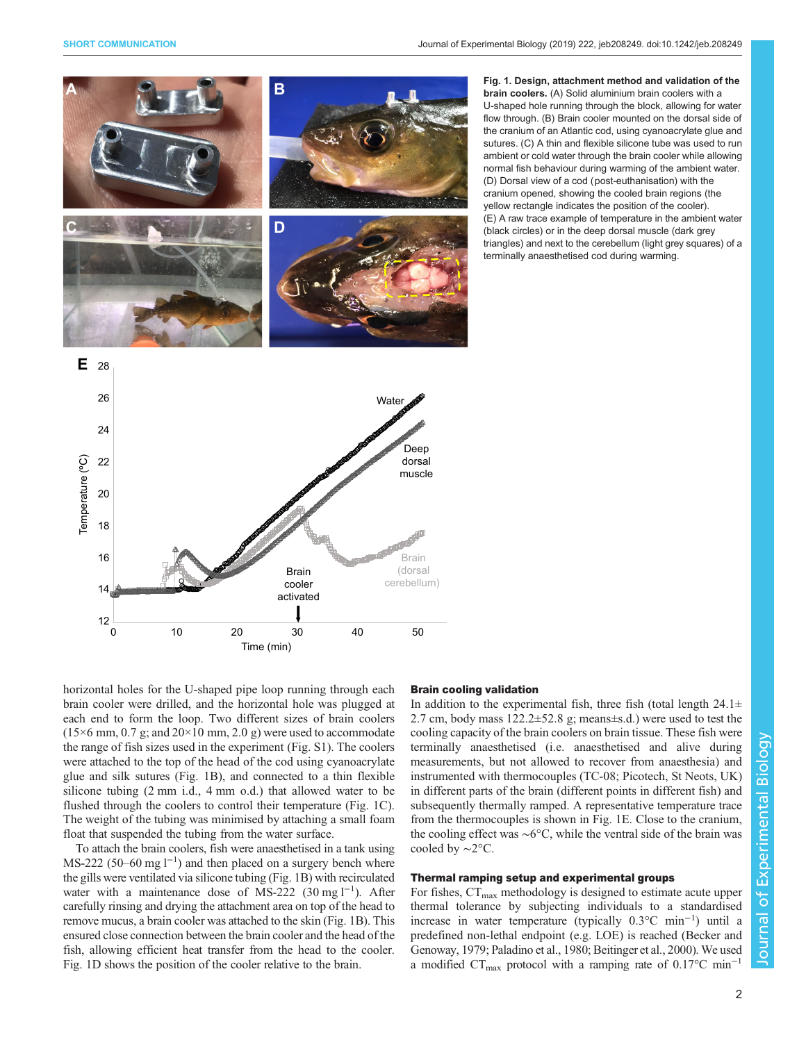<span id="page-1-0"></span>

Fig. 1. Design, attachment method and validation of the brain coolers. (A) Solid aluminium brain coolers with a U-shaped hole running through the block, allowing for water flow through. (B) Brain cooler mounted on the dorsal side of the cranium of an Atlantic cod, using cyanoacrylate glue and sutures. (C) A thin and flexible silicone tube was used to run ambient or cold water through the brain cooler while allowing normal fish behaviour during warming of the ambient water. (D) Dorsal view of a cod (post-euthanisation) with the cranium opened, showing the cooled brain regions (the yellow rectangle indicates the position of the cooler). (E) A raw trace example of temperature in the ambient water (black circles) or in the deep dorsal muscle (dark grey triangles) and next to the cerebellum (light grey squares) of a terminally anaesthetised cod during warming.

horizontal holes for the U-shaped pipe loop running through each brain cooler were drilled, and the horizontal hole was plugged at each end to form the loop. Two different sizes of brain coolers  $(15\times6$  mm, 0.7 g; and  $20\times10$  mm, 2.0 g) were used to accommodate the range of fish sizes used in the experiment [\(Fig. S1](http://jeb.biologists.org/lookup/doi/10.1242/jeb.208249.supplemental)). The coolers were attached to the top of the head of the cod using cyanoacrylate glue and silk sutures (Fig. 1B), and connected to a thin flexible silicone tubing (2 mm i.d., 4 mm o.d.) that allowed water to be flushed through the coolers to control their temperature (Fig. 1C). The weight of the tubing was minimised by attaching a small foam float that suspended the tubing from the water surface.

To attach the brain coolers, fish were anaesthetised in a tank using MS-222 (50–60 mg  $l^{-1}$ ) and then placed on a surgery bench where the gills were ventilated via silicone tubing (Fig. 1B) with recirculated water with a maintenance dose of MS-222 (30 mg l<sup>-1</sup>). After carefully rinsing and drying the attachment area on top of the head to remove mucus, a brain cooler was attached to the skin (Fig. 1B). This ensured close connection between the brain cooler and the head of the fish, allowing efficient heat transfer from the head to the cooler. Fig. 1D shows the position of the cooler relative to the brain.

#### Brain cooling validation

In addition to the experimental fish, three fish (total length  $24.1\pm$ 2.7 cm, body mass 122.2±52.8 g; means±s.d.) were used to test the cooling capacity of the brain coolers on brain tissue. These fish were terminally anaesthetised (i.e. anaesthetised and alive during measurements, but not allowed to recover from anaesthesia) and instrumented with thermocouples (TC-08; Picotech, St Neots, UK) in different parts of the brain (different points in different fish) and subsequently thermally ramped. A representative temperature trace from the thermocouples is shown in Fig. 1E. Close to the cranium, the cooling effect was ∼6°C, while the ventral side of the brain was cooled by ∼2°C.

## Thermal ramping setup and experimental groups

For fishes,  $CT_{\text{max}}$  methodology is designed to estimate acute upper thermal tolerance by subjecting individuals to a standardised increase in water temperature (typically 0.3°C min−<sup>1</sup> ) until a predefined non-lethal endpoint (e.g. LOE) is reached [\(Becker and](#page-4-0) [Genoway, 1979](#page-4-0); [Paladino et al., 1980; Beitinger et al., 2000\)](#page-4-0). We used a modified  $CT_{\text{max}}$  protocol with a ramping rate of 0.17°C min<sup>-1</sup>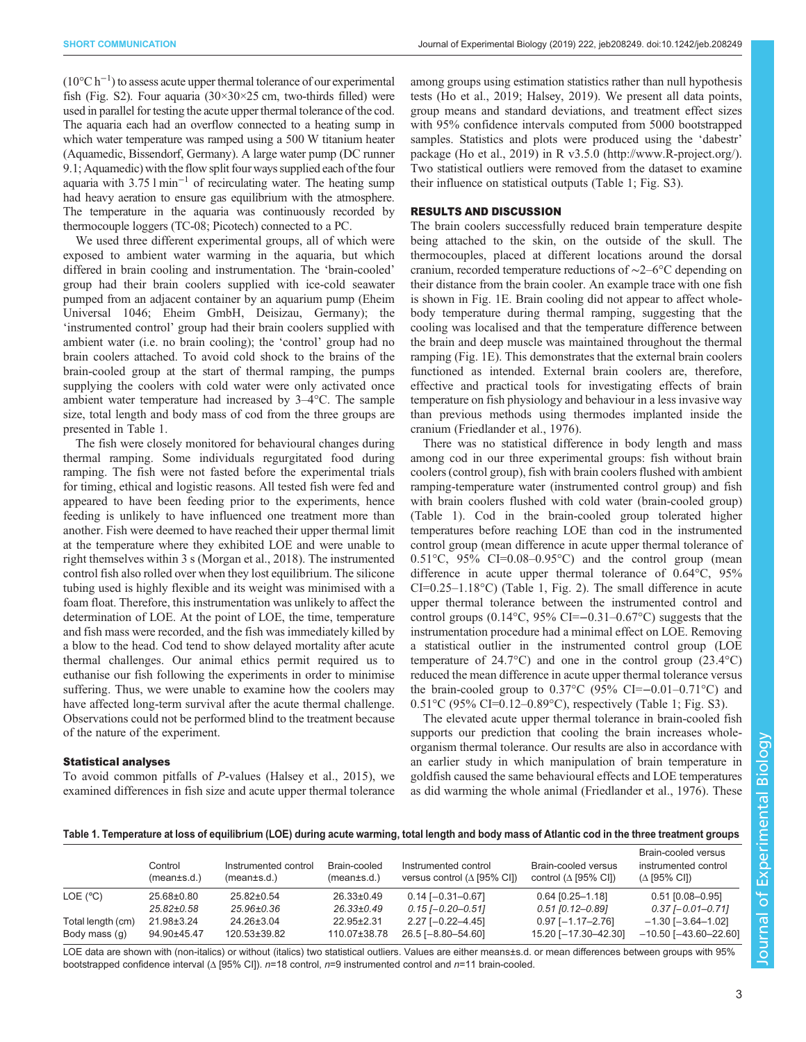$(10^{\circ}C h^{-1})$  to assess acute upper thermal tolerance of our experimental fish [\(Fig. S2\)](http://jeb.biologists.org/lookup/doi/10.1242/jeb.208249.supplemental). Four aquaria  $(30 \times 30 \times 25)$  cm, two-thirds filled) were used in parallel for testing the acute upper thermal tolerance of the cod. The aquaria each had an overflow connected to a heating sump in which water temperature was ramped using a 500 W titanium heater (Aquamedic, Bissendorf, Germany). A large water pump (DC runner 9.1; Aquamedic) with the flow split four ways supplied each of the four aquaria with 3.75 l min−<sup>1</sup> of recirculating water. The heating sump had heavy aeration to ensure gas equilibrium with the atmosphere. The temperature in the aquaria was continuously recorded by thermocouple loggers (TC-08; Picotech) connected to a PC.

We used three different experimental groups, all of which were exposed to ambient water warming in the aquaria, but which differed in brain cooling and instrumentation. The 'brain-cooled' group had their brain coolers supplied with ice-cold seawater pumped from an adjacent container by an aquarium pump (Eheim Universal 1046; Eheim GmbH, Deisizau, Germany); the 'instrumented control' group had their brain coolers supplied with ambient water (i.e. no brain cooling); the 'control' group had no brain coolers attached. To avoid cold shock to the brains of the brain-cooled group at the start of thermal ramping, the pumps supplying the coolers with cold water were only activated once ambient water temperature had increased by 3–4°C. The sample size, total length and body mass of cod from the three groups are presented in Table 1.

The fish were closely monitored for behavioural changes during thermal ramping. Some individuals regurgitated food during ramping. The fish were not fasted before the experimental trials for timing, ethical and logistic reasons. All tested fish were fed and appeared to have been feeding prior to the experiments, hence feeding is unlikely to have influenced one treatment more than another. Fish were deemed to have reached their upper thermal limit at the temperature where they exhibited LOE and were unable to right themselves within 3 s [\(Morgan et al., 2018\)](#page-4-0). The instrumented control fish also rolled over when they lost equilibrium. The silicone tubing used is highly flexible and its weight was minimised with a foam float. Therefore, this instrumentation was unlikely to affect the determination of LOE. At the point of LOE, the time, temperature and fish mass were recorded, and the fish was immediately killed by a blow to the head. Cod tend to show delayed mortality after acute thermal challenges. Our animal ethics permit required us to euthanise our fish following the experiments in order to minimise suffering. Thus, we were unable to examine how the coolers may have affected long-term survival after the acute thermal challenge. Observations could not be performed blind to the treatment because of the nature of the experiment.

## Statistical analyses

To avoid common pitfalls of P-values [\(Halsey et al., 2015\)](#page-4-0), we examined differences in fish size and acute upper thermal tolerance among groups using estimation statistics rather than null hypothesis tests ([Ho et al., 2019](#page-4-0); [Halsey, 2019](#page-4-0)). We present all data points, group means and standard deviations, and treatment effect sizes with 95% confidence intervals computed from 5000 bootstrapped samples. Statistics and plots were produced using the 'dabestr' package ([Ho et al., 2019](#page-4-0)) in R v3.5.0 ([http://www.R-project.org/\)](http://www.R-project.org/). Two statistical outliers were removed from the dataset to examine their influence on statistical outputs (Table 1; [Fig. S3](http://jeb.biologists.org/lookup/doi/10.1242/jeb.208249.supplemental)).

## RESULTS AND DISCUSSION

The brain coolers successfully reduced brain temperature despite being attached to the skin, on the outside of the skull. The thermocouples, placed at different locations around the dorsal cranium, recorded temperature reductions of ∼2–6°C depending on their distance from the brain cooler. An example trace with one fish is shown in [Fig. 1E](#page-1-0). Brain cooling did not appear to affect wholebody temperature during thermal ramping, suggesting that the cooling was localised and that the temperature difference between the brain and deep muscle was maintained throughout the thermal ramping [\(Fig. 1](#page-1-0)E). This demonstrates that the external brain coolers functioned as intended. External brain coolers are, therefore, effective and practical tools for investigating effects of brain temperature on fish physiology and behaviour in a less invasive way than previous methods using thermodes implanted inside the cranium [\(Friedlander et al., 1976\)](#page-4-0).

There was no statistical difference in body length and mass among cod in our three experimental groups: fish without brain coolers (control group), fish with brain coolers flushed with ambient ramping-temperature water (instrumented control group) and fish with brain coolers flushed with cold water (brain-cooled group) (Table 1). Cod in the brain-cooled group tolerated higher temperatures before reaching LOE than cod in the instrumented control group (mean difference in acute upper thermal tolerance of 0.51 $\degree$ C, 95% CI=0.08–0.95 $\degree$ C) and the control group (mean difference in acute upper thermal tolerance of 0.64°C, 95% CI=0.25–1.18°C) (Table 1, [Fig. 2](#page-3-0)). The small difference in acute upper thermal tolerance between the instrumented control and control groups  $(0.14\textdegree C, 95\% \textdegree C = -0.31 - 0.67\textdegree C)$  suggests that the instrumentation procedure had a minimal effect on LOE. Removing a statistical outlier in the instrumented control group (LOE temperature of  $24.7^{\circ}$ C) and one in the control group  $(23.4^{\circ}$ C) reduced the mean difference in acute upper thermal tolerance versus the brain-cooled group to  $0.37^{\circ}$ C (95% CI=-0.01–0.71°C) and 0.51°C (95% CI=0.12–0.89°C), respectively (Table 1; [Fig. S3\)](http://jeb.biologists.org/lookup/doi/10.1242/jeb.208249.supplemental).

The elevated acute upper thermal tolerance in brain-cooled fish supports our prediction that cooling the brain increases wholeorganism thermal tolerance. Our results are also in accordance with an earlier study in which manipulation of brain temperature in goldfish caused the same behavioural effects and LOE temperatures as did warming the whole animal ([Friedlander et al., 1976](#page-4-0)). These

|  |  | Table 1. Temperature at loss of equilibrium (LOE) during acute warming, total length and body mass of Atlantic cod in the three treatment groups |  |
|--|--|--------------------------------------------------------------------------------------------------------------------------------------------------|--|
|  |  |                                                                                                                                                  |  |

|                   | Control<br>(mean±s.d.) | Instrumented control<br>$(mean \pm s.d.)$ | Brain-cooled<br>(mean±s.d.) | Instrumented control<br>versus control ( $\triangle$ [95% CI]) | Brain-cooled versus<br>control ( $\triangle$ [95% CI]) | Brain-cooled versus<br>instrumented control<br>$(\Delta$ [95% CI]) |
|-------------------|------------------------|-------------------------------------------|-----------------------------|----------------------------------------------------------------|--------------------------------------------------------|--------------------------------------------------------------------|
| LOE $(^{\circ}C)$ | 25.68±0.80             | $25.82 \pm 0.54$                          | $26.33 \pm 0.49$            | $0.14$ [-0.31-0.67]                                            | $0.64$ [0.25-1.18]                                     | $0.51$ [0.08-0.95]                                                 |
|                   | $25.82 \pm 0.58$       | $25.96 \pm 0.36$                          | $26.33 \pm 0.49$            | $0.15$ [-0.20-0.51]                                            | $0.51$ [0.12-0.89]                                     | $0.37$ [-0.01-0.71]                                                |
| Total length (cm) | 21.98±3.24             | 24.26±3.04                                | 22.95±2.31                  | $2.27$ [-0.22-4.45]                                            | $0.97$ [-1.17-2.76]                                    | $-1.30$ [ $-3.64-1.02$ ]                                           |
| Body mass (g)     | 94.90±45.47            | 120.53±39.82                              | 110.07±38.78                | 26.5 [-8.80-54.60]                                             | 15.20 [-17.30-42.30]                                   | $-10.50$ [ $-43.60 - 22.60$ ]                                      |

LOE data are shown with (non-italics) or without (italics) two statistical outliers. Values are either means±s.d. or mean differences between groups with 95% bootstrapped confidence interval (Δ [95% CI]). n=18 control, n=9 instrumented control and n=11 brain-cooled.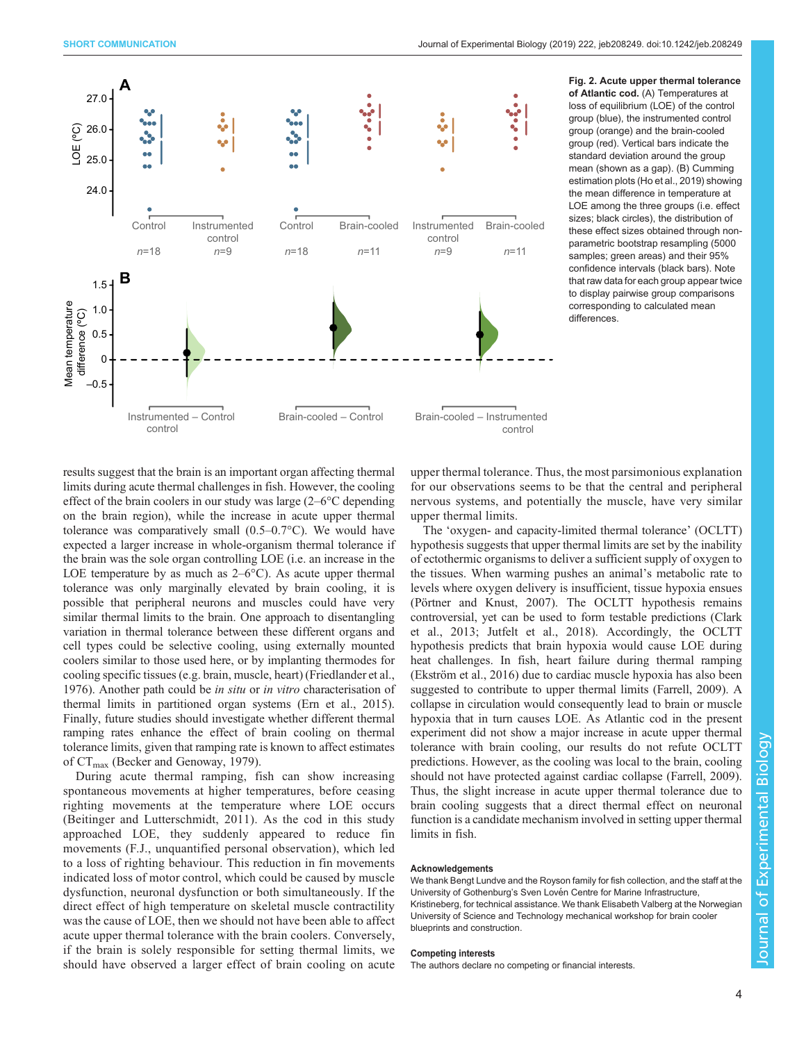<span id="page-3-0"></span>

Fig. 2. Acute upper thermal tolerance of Atlantic cod. (A) Temperatures at loss of equilibrium (LOE) of the control group (blue), the instrumented control group (orange) and the brain-cooled group (red). Vertical bars indicate the standard deviation around the group mean (shown as a gap). (B) Cumming estimation plots ([Ho et al., 2019\)](#page-4-0) showing the mean difference in temperature at LOE among the three groups (i.e. effect sizes; black circles), the distribution of these effect sizes obtained through nonparametric bootstrap resampling (5000 samples; green areas) and their 95% confidence intervals (black bars). Note that raw data for each group appear twice to display pairwise group comparisons corresponding to calculated mean differences.

results suggest that the brain is an important organ affecting thermal limits during acute thermal challenges in fish. However, the cooling effect of the brain coolers in our study was large (2–6°C depending on the brain region), while the increase in acute upper thermal tolerance was comparatively small (0.5–0.7°C). We would have expected a larger increase in whole-organism thermal tolerance if the brain was the sole organ controlling LOE (i.e. an increase in the LOE temperature by as much as  $2-6^{\circ}$ C). As acute upper thermal tolerance was only marginally elevated by brain cooling, it is possible that peripheral neurons and muscles could have very similar thermal limits to the brain. One approach to disentangling variation in thermal tolerance between these different organs and cell types could be selective cooling, using externally mounted coolers similar to those used here, or by implanting thermodes for cooling specific tissues (e.g. brain, muscle, heart) [\(Friedlander et al.,](#page-4-0) [1976](#page-4-0)). Another path could be in situ or in vitro characterisation of thermal limits in partitioned organ systems [\(Ern et al., 2015\)](#page-4-0). Finally, future studies should investigate whether different thermal ramping rates enhance the effect of brain cooling on thermal tolerance limits, given that ramping rate is known to affect estimates of  $CT_{\text{max}}$  [\(Becker and Genoway, 1979](#page-4-0)).

During acute thermal ramping, fish can show increasing spontaneous movements at higher temperatures, before ceasing righting movements at the temperature where LOE occurs [\(Beitinger and Lutterschmidt, 2011](#page-4-0)). As the cod in this study approached LOE, they suddenly appeared to reduce fin movements (F.J., unquantified personal observation), which led to a loss of righting behaviour. This reduction in fin movements indicated loss of motor control, which could be caused by muscle dysfunction, neuronal dysfunction or both simultaneously. If the direct effect of high temperature on skeletal muscle contractility was the cause of LOE, then we should not have been able to affect acute upper thermal tolerance with the brain coolers. Conversely, if the brain is solely responsible for setting thermal limits, we should have observed a larger effect of brain cooling on acute

upper thermal tolerance. Thus, the most parsimonious explanation for our observations seems to be that the central and peripheral nervous systems, and potentially the muscle, have very similar upper thermal limits.

The 'oxygen- and capacity-limited thermal tolerance' (OCLTT) hypothesis suggests that upper thermal limits are set by the inability of ectothermic organisms to deliver a sufficient supply of oxygen to the tissues. When warming pushes an animal's metabolic rate to levels where oxygen delivery is insufficient, tissue hypoxia ensues [\(Pörtner and Knust, 2007\)](#page-4-0). The OCLTT hypothesis remains controversial, yet can be used to form testable predictions [\(Clark](#page-4-0) [et al., 2013; Jutfelt et al., 2018](#page-4-0)). Accordingly, the OCLTT hypothesis predicts that brain hypoxia would cause LOE during heat challenges. In fish, heart failure during thermal ramping [\(Ekström et al., 2016](#page-4-0)) due to cardiac muscle hypoxia has also been suggested to contribute to upper thermal limits [\(Farrell, 2009](#page-4-0)). A collapse in circulation would consequently lead to brain or muscle hypoxia that in turn causes LOE. As Atlantic cod in the present experiment did not show a major increase in acute upper thermal tolerance with brain cooling, our results do not refute OCLTT predictions. However, as the cooling was local to the brain, cooling should not have protected against cardiac collapse ([Farrell, 2009\)](#page-4-0). Thus, the slight increase in acute upper thermal tolerance due to brain cooling suggests that a direct thermal effect on neuronal function is a candidate mechanism involved in setting upper thermal limits in fish.

## Acknowledgements

We thank Bengt Lundve and the Royson family for fish collection, and the staff at the University of Gothenburg's Sven Lovén Centre for Marine Infrastructure, Kristineberg, for technical assistance. We thank Elisabeth Valberg at the Norwegian University of Science and Technology mechanical workshop for brain cooler blueprints and construction.

#### Competing interests

The authors declare no competing or financial interests.